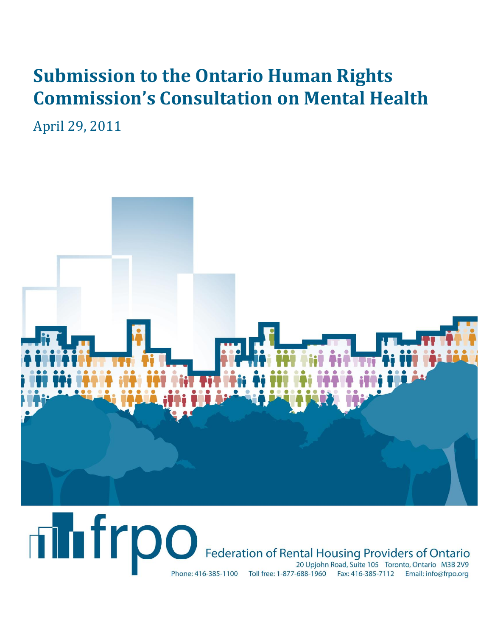# **Submission to the Ontario Human Rights Commission's Consultation on Mental Health**

April 29, 2011



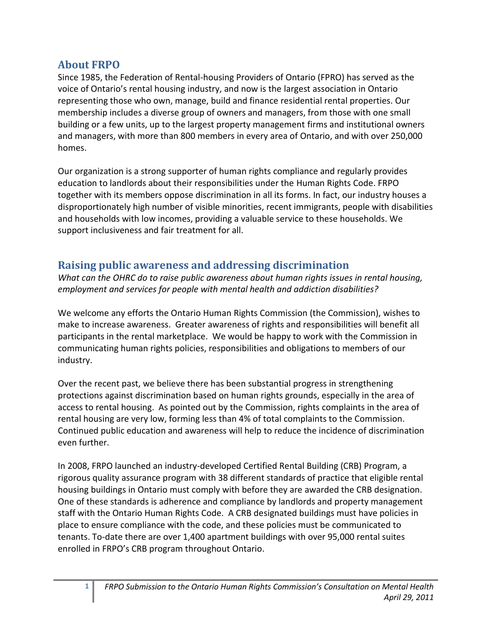## **About FRPO**

Since 1985, the Federation of Rental-housing Providers of Ontario (FPRO) has served as the voice of Ontario's rental housing industry, and now is the largest association in Ontario representing those who own, manage, build and finance residential rental properties. Our membership includes a diverse group of owners and managers, from those with one small building or a few units, up to the largest property management firms and institutional owners and managers, with more than 800 members in every area of Ontario, and with over 250,000 homes.

Our organization is a strong supporter of human rights compliance and regularly provides education to landlords about their responsibilities under the Human Rights Code. FRPO together with its members oppose discrimination in all its forms. In fact, our industry houses a disproportionately high number of visible minorities, recent immigrants, people with disabilities and households with low incomes, providing a valuable service to these households. We support inclusiveness and fair treatment for all.

## **Raising public awareness and addressing discrimination**

*What can the OHRC do to raise public awareness about human rights issues in rental housing, employment and services for people with mental health and addiction disabilities?*

We welcome any efforts the Ontario Human Rights Commission (the Commission), wishes to make to increase awareness. Greater awareness of rights and responsibilities will benefit all participants in the rental marketplace. We would be happy to work with the Commission in communicating human rights policies, responsibilities and obligations to members of our industry.

Over the recent past, we believe there has been substantial progress in strengthening protections against discrimination based on human rights grounds, especially in the area of access to rental housing. As pointed out by the Commission, rights complaints in the area of rental housing are very low, forming less than 4% of total complaints to the Commission. Continued public education and awareness will help to reduce the incidence of discrimination even further.

In 2008, FRPO launched an industry-developed Certified Rental Building (CRB) Program, a rigorous quality assurance program with 38 different standards of practice that eligible rental housing buildings in Ontario must comply with before they are awarded the CRB designation. One of these standards is adherence and compliance by landlords and property management staff with the Ontario Human Rights Code. A CRB designated buildings must have policies in place to ensure compliance with the code, and these policies must be communicated to tenants. To-date there are over 1,400 apartment buildings with over 95,000 rental suites enrolled in FRPO's CRB program throughout Ontario.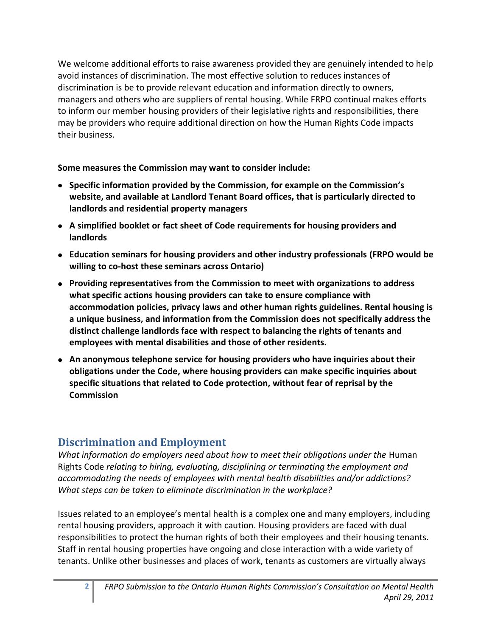We welcome additional efforts to raise awareness provided they are genuinely intended to help avoid instances of discrimination. The most effective solution to reduces instances of discrimination is be to provide relevant education and information directly to owners, managers and others who are suppliers of rental housing. While FRPO continual makes efforts to inform our member housing providers of their legislative rights and responsibilities, there may be providers who require additional direction on how the Human Rights Code impacts their business.

**Some measures the Commission may want to consider include:**

- **Specific information provided by the Commission, for example on the Commission's website, and available at Landlord Tenant Board offices, that is particularly directed to landlords and residential property managers**
- **A simplified booklet or fact sheet of Code requirements for housing providers and landlords**
- **Education seminars for housing providers and other industry professionals (FRPO would be willing to co-host these seminars across Ontario)**
- **Providing representatives from the Commission to meet with organizations to address what specific actions housing providers can take to ensure compliance with accommodation policies, privacy laws and other human rights guidelines. Rental housing is a unique business, and information from the Commission does not specifically address the distinct challenge landlords face with respect to balancing the rights of tenants and employees with mental disabilities and those of other residents.**
- **An anonymous telephone service for housing providers who have inquiries about their obligations under the Code, where housing providers can make specific inquiries about specific situations that related to Code protection, without fear of reprisal by the Commission**

# **Discrimination and Employment**

*What information do employers need about how to meet their obligations under the Human* Rights Code *relating to hiring, evaluating, disciplining or terminating the employment and accommodating the needs of employees with mental health disabilities and/or addictions? What steps can be taken to eliminate discrimination in the workplace?* 

Issues related to an employee's mental health is a complex one and many employers, including rental housing providers, approach it with caution. Housing providers are faced with dual responsibilities to protect the human rights of both their employees and their housing tenants. Staff in rental housing properties have ongoing and close interaction with a wide variety of tenants. Unlike other businesses and places of work, tenants as customers are virtually always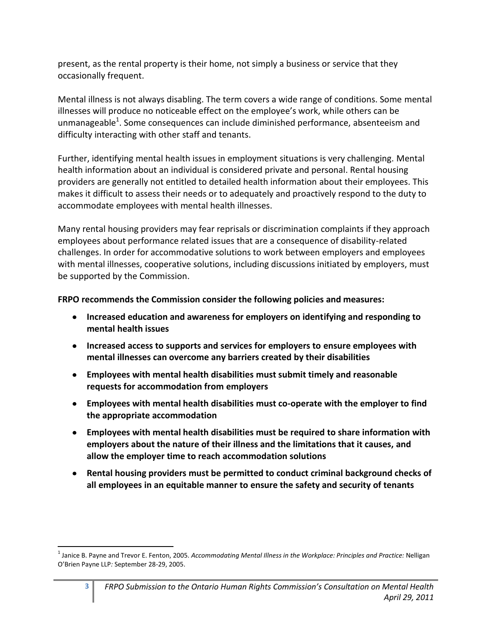present, as the rental property is their home, not simply a business or service that they occasionally frequent.

Mental illness is not always disabling. The term covers a wide range of conditions. Some mental illnesses will produce no noticeable effect on the employee's work, while others can be unmanageable<sup>1</sup>. Some consequences can include diminished performance, absenteeism and difficulty interacting with other staff and tenants.

Further, identifying mental health issues in employment situations is very challenging. Mental health information about an individual is considered private and personal. Rental housing providers are generally not entitled to detailed health information about their employees. This makes it difficult to assess their needs or to adequately and proactively respond to the duty to accommodate employees with mental health illnesses.

Many rental housing providers may fear reprisals or discrimination complaints if they approach employees about performance related issues that are a consequence of disability-related challenges. In order for accommodative solutions to work between employers and employees with mental illnesses, cooperative solutions, including discussions initiated by employers, must be supported by the Commission.

**FRPO recommends the Commission consider the following policies and measures:**

- **Increased education and awareness for employers on identifying and responding to mental health issues**
- **Increased access to supports and services for employers to ensure employees with mental illnesses can overcome any barriers created by their disabilities**
- **Employees with mental health disabilities must submit timely and reasonable requests for accommodation from employers**
- **Employees with mental health disabilities must co-operate with the employer to find the appropriate accommodation**
- **Employees with mental health disabilities must be required to share information with employers about the nature of their illness and the limitations that it causes, and allow the employer time to reach accommodation solutions**
- **Rental housing providers must be permitted to conduct criminal background checks of all employees in an equitable manner to ensure the safety and security of tenants**

 $\overline{\phantom{a}}$ 

<sup>1</sup> Janice B. Payne and Trevor E. Fenton, 2005. *Accommodating Mental Illness in the Workplace: Principles and Practice:* Nelligan O'Brien Payne LLP*:* September 28-29, 2005.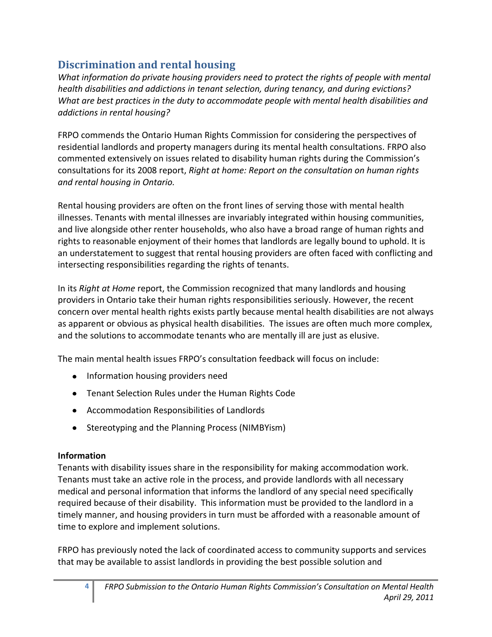# **Discrimination and rental housing**

*What information do private housing providers need to protect the rights of people with mental health disabilities and addictions in tenant selection, during tenancy, and during evictions? What are best practices in the duty to accommodate people with mental health disabilities and addictions in rental housing?*

FRPO commends the Ontario Human Rights Commission for considering the perspectives of residential landlords and property managers during its mental health consultations. FRPO also commented extensively on issues related to disability human rights during the Commission's consultations for its 2008 report, *Right at home: Report on the consultation on human rights and rental housing in Ontario.*

Rental housing providers are often on the front lines of serving those with mental health illnesses. Tenants with mental illnesses are invariably integrated within housing communities, and live alongside other renter households, who also have a broad range of human rights and rights to reasonable enjoyment of their homes that landlords are legally bound to uphold. It is an understatement to suggest that rental housing providers are often faced with conflicting and intersecting responsibilities regarding the rights of tenants.

In its *Right at Home* report, the Commission recognized that many landlords and housing providers in Ontario take their human rights responsibilities seriously. However, the recent concern over mental health rights exists partly because mental health disabilities are not always as apparent or obvious as physical health disabilities. The issues are often much more complex, and the solutions to accommodate tenants who are mentally ill are just as elusive.

The main mental health issues FRPO's consultation feedback will focus on include:

- Information housing providers need
- Tenant Selection Rules under the Human Rights Code
- Accommodation Responsibilities of Landlords
- Stereotyping and the Planning Process (NIMBYism)

#### **Information**

Tenants with disability issues share in the responsibility for making accommodation work. Tenants must take an active role in the process, and provide landlords with all necessary medical and personal information that informs the landlord of any special need specifically required because of their disability. This information must be provided to the landlord in a timely manner, and housing providers in turn must be afforded with a reasonable amount of time to explore and implement solutions.

FRPO has previously noted the lack of coordinated access to community supports and services that may be available to assist landlords in providing the best possible solution and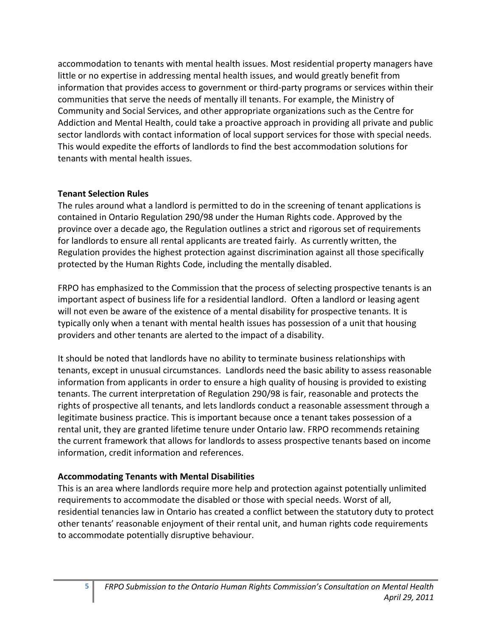accommodation to tenants with mental health issues. Most residential property managers have little or no expertise in addressing mental health issues, and would greatly benefit from information that provides access to government or third-party programs or services within their communities that serve the needs of mentally ill tenants. For example, the Ministry of Community and Social Services, and other appropriate organizations such as the Centre for Addiction and Mental Health, could take a proactive approach in providing all private and public sector landlords with contact information of local support services for those with special needs. This would expedite the efforts of landlords to find the best accommodation solutions for tenants with mental health issues.

#### **Tenant Selection Rules**

The rules around what a landlord is permitted to do in the screening of tenant applications is contained in Ontario Regulation 290/98 under the Human Rights code. Approved by the province over a decade ago, the Regulation outlines a strict and rigorous set of requirements for landlords to ensure all rental applicants are treated fairly. As currently written, the Regulation provides the highest protection against discrimination against all those specifically protected by the Human Rights Code, including the mentally disabled.

FRPO has emphasized to the Commission that the process of selecting prospective tenants is an important aspect of business life for a residential landlord. Often a landlord or leasing agent will not even be aware of the existence of a mental disability for prospective tenants. It is typically only when a tenant with mental health issues has possession of a unit that housing providers and other tenants are alerted to the impact of a disability.

It should be noted that landlords have no ability to terminate business relationships with tenants, except in unusual circumstances. Landlords need the basic ability to assess reasonable information from applicants in order to ensure a high quality of housing is provided to existing tenants. The current interpretation of Regulation 290/98 is fair, reasonable and protects the rights of prospective all tenants, and lets landlords conduct a reasonable assessment through a legitimate business practice. This is important because once a tenant takes possession of a rental unit, they are granted lifetime tenure under Ontario law. FRPO recommends retaining the current framework that allows for landlords to assess prospective tenants based on income information, credit information and references.

#### **Accommodating Tenants with Mental Disabilities**

This is an area where landlords require more help and protection against potentially unlimited requirements to accommodate the disabled or those with special needs. Worst of all, residential tenancies law in Ontario has created a conflict between the statutory duty to protect other tenants' reasonable enjoyment of their rental unit, and human rights code requirements to accommodate potentially disruptive behaviour.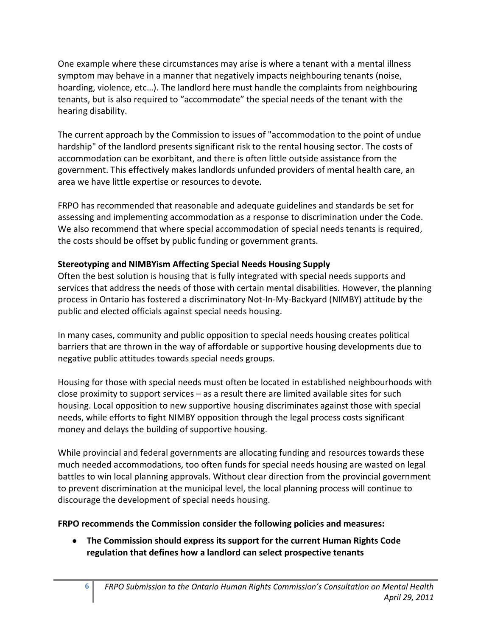One example where these circumstances may arise is where a tenant with a mental illness symptom may behave in a manner that negatively impacts neighbouring tenants (noise, hoarding, violence, etc…). The landlord here must handle the complaints from neighbouring tenants, but is also required to "accommodate" the special needs of the tenant with the hearing disability.

The current approach by the Commission to issues of "accommodation to the point of undue hardship" of the landlord presents significant risk to the rental housing sector. The costs of accommodation can be exorbitant, and there is often little outside assistance from the government. This effectively makes landlords unfunded providers of mental health care, an area we have little expertise or resources to devote.

FRPO has recommended that reasonable and adequate guidelines and standards be set for assessing and implementing accommodation as a response to discrimination under the Code. We also recommend that where special accommodation of special needs tenants is required, the costs should be offset by public funding or government grants.

### **Stereotyping and NIMBYism Affecting Special Needs Housing Supply**

Often the best solution is housing that is fully integrated with special needs supports and services that address the needs of those with certain mental disabilities. However, the planning process in Ontario has fostered a discriminatory Not-In-My-Backyard (NIMBY) attitude by the public and elected officials against special needs housing.

In many cases, community and public opposition to special needs housing creates political barriers that are thrown in the way of affordable or supportive housing developments due to negative public attitudes towards special needs groups.

Housing for those with special needs must often be located in established neighbourhoods with close proximity to support services – as a result there are limited available sites for such housing. Local opposition to new supportive housing discriminates against those with special needs, while efforts to fight NIMBY opposition through the legal process costs significant money and delays the building of supportive housing.

While provincial and federal governments are allocating funding and resources towards these much needed accommodations, too often funds for special needs housing are wasted on legal battles to win local planning approvals. Without clear direction from the provincial government to prevent discrimination at the municipal level, the local planning process will continue to discourage the development of special needs housing.

#### **FRPO recommends the Commission consider the following policies and measures:**

**The Commission should express its support for the current Human Rights Code regulation that defines how a landlord can select prospective tenants**